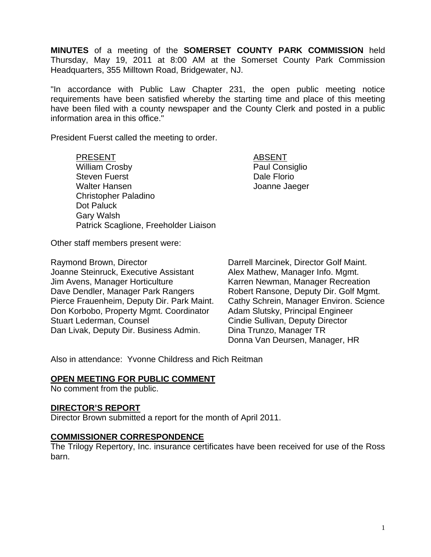**MINUTES** of a meeting of the **SOMERSET COUNTY PARK COMMISSION** held Thursday, May 19, 2011 at 8:00 AM at the Somerset County Park Commission Headquarters, 355 Milltown Road, Bridgewater, NJ.

"In accordance with Public Law Chapter 231, the open public meeting notice requirements have been satisfied whereby the starting time and place of this meeting have been filed with a county newspaper and the County Clerk and posted in a public information area in this office."

President Fuerst called the meeting to order.

PRESENT ABSENT William Crosby **Paul Consiglio** Steven Fuerst **Dale Florio** Walter Hansen **Matter Hansen** Joanne Jaeger Christopher Paladino Dot Paluck Gary Walsh Patrick Scaglione, Freeholder Liaison

Other staff members present were:

Raymond Brown, Director **Darrell Marcinek, Director Golf Maint.** Joanne Steinruck, Executive Assistant Alex Mathew, Manager Info. Mgmt. Jim Avens, Manager Horticulture Karren Newman, Manager Recreation Dave Dendler, Manager Park Rangers Robert Ransone, Deputy Dir. Golf Mgmt. Pierce Frauenheim, Deputy Dir. Park Maint. Cathy Schrein, Manager Environ. Science Don Korbobo, Property Mgmt. Coordinator Adam Slutsky, Principal Engineer Stuart Lederman, Counsel **Conserverse Constant Conserverse Cindie Sullivan, Deputy Director** Dan Livak, Deputy Dir. Business Admin. Dina Trunzo, Manager TR

Donna Van Deursen, Manager, HR

Also in attendance: Yvonne Childress and Rich Reitman

## **OPEN MEETING FOR PUBLIC COMMENT**

No comment from the public.

## **DIRECTOR'S REPORT**

Director Brown submitted a report for the month of April 2011.

## **COMMISSIONER CORRESPONDENCE**

The Trilogy Repertory, Inc. insurance certificates have been received for use of the Ross barn.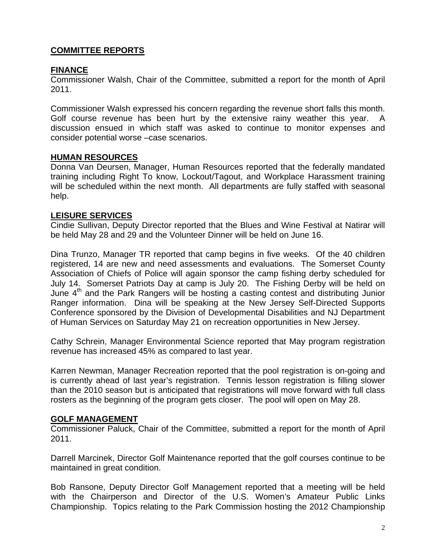# **COMMITTEE REPORTS**

## **FINANCE**

Commissioner Walsh, Chair of the Committee, submitted a report for the month of April 2011.

Commissioner Walsh expressed his concern regarding the revenue short falls this month. Golf course revenue has been hurt by the extensive rainy weather this year. A discussion ensued in which staff was asked to continue to monitor expenses and consider potential worse –case scenarios.

## **HUMAN RESOURCES**

Donna Van Deursen, Manager, Human Resources reported that the federally mandated training including Right To know, Lockout/Tagout, and Workplace Harassment training will be scheduled within the next month. All departments are fully staffed with seasonal help.

#### **LEISURE SERVICES**

Cindie Sullivan, Deputy Director reported that the Blues and Wine Festival at Natirar will be held May 28 and 29 and the Volunteer Dinner will be held on June 16.

Dina Trunzo, Manager TR reported that camp begins in five weeks. Of the 40 children registered, 14 are new and need assessments and evaluations. The Somerset County Association of Chiefs of Police will again sponsor the camp fishing derby scheduled for July 14. Somerset Patriots Day at camp is July 20. The Fishing Derby will be held on June  $4<sup>th</sup>$  and the Park Rangers will be hosting a casting contest and distributing Junior Ranger information. Dina will be speaking at the New Jersey Self-Directed Supports Conference sponsored by the Division of Developmental Disabilities and NJ Department of Human Services on Saturday May 21 on recreation opportunities in New Jersey.

Cathy Schrein, Manager Environmental Science reported that May program registration revenue has increased 45% as compared to last year.

Karren Newman, Manager Recreation reported that the pool registration is on-going and is currently ahead of last year's registration. Tennis lesson registration is filling slower than the 2010 season but is anticipated that registrations will move forward with full class rosters as the beginning of the program gets closer. The pool will open on May 28.

## **GOLF MANAGEMENT**

Commissioner Paluck, Chair of the Committee, submitted a report for the month of April 2011.

Darrell Marcinek, Director Golf Maintenance reported that the golf courses continue to be maintained in great condition.

Bob Ransone, Deputy Director Golf Management reported that a meeting will be held with the Chairperson and Director of the U.S. Women's Amateur Public Links Championship. Topics relating to the Park Commission hosting the 2012 Championship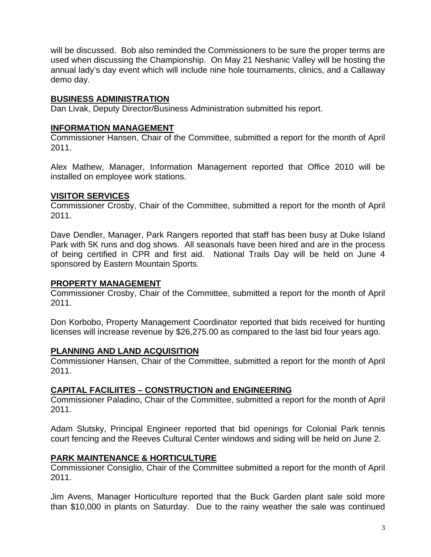will be discussed. Bob also reminded the Commissioners to be sure the proper terms are used when discussing the Championship. On May 21 Neshanic Valley will be hosting the annual lady's day event which will include nine hole tournaments, clinics, and a Callaway demo day.

## **BUSINESS ADMINISTRATION**

Dan Livak, Deputy Director/Business Administration submitted his report.

## **INFORMATION MANAGEMENT**

Commissioner Hansen, Chair of the Committee, submitted a report for the month of April 2011.

Alex Mathew, Manager, Information Management reported that Office 2010 will be installed on employee work stations.

# **VISITOR SERVICES**

Commissioner Crosby, Chair of the Committee, submitted a report for the month of April 2011.

Dave Dendler, Manager, Park Rangers reported that staff has been busy at Duke Island Park with 5K runs and dog shows. All seasonals have been hired and are in the process of being certified in CPR and first aid. National Trails Day will be held on June 4 sponsored by Eastern Mountain Sports.

## **PROPERTY MANAGEMENT**

Commissioner Crosby, Chair of the Committee, submitted a report for the month of April 2011.

Don Korbobo, Property Management Coordinator reported that bids received for hunting licenses will increase revenue by \$26,275.00 as compared to the last bid four years ago.

# **PLANNING AND LAND ACQUISITION**

Commissioner Hansen, Chair of the Committee, submitted a report for the month of April 2011.

# **CAPITAL FACILIITES – CONSTRUCTION and ENGINEERING**

Commissioner Paladino, Chair of the Committee, submitted a report for the month of April 2011.

Adam Slutsky, Principal Engineer reported that bid openings for Colonial Park tennis court fencing and the Reeves Cultural Center windows and siding will be held on June 2.

# **PARK MAINTENANCE & HORTICULTURE**

Commissioner Consiglio, Chair of the Committee submitted a report for the month of April 2011.

Jim Avens, Manager Horticulture reported that the Buck Garden plant sale sold more than \$10,000 in plants on Saturday. Due to the rainy weather the sale was continued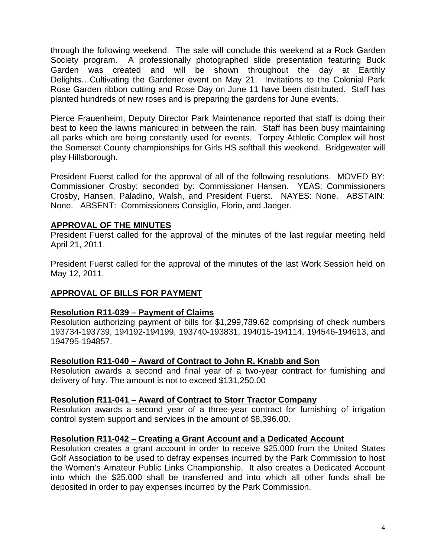through the following weekend. The sale will conclude this weekend at a Rock Garden Society program. A professionally photographed slide presentation featuring Buck Garden was created and will be shown throughout the day at Earthly Delights…Cultivating the Gardener event on May 21. Invitations to the Colonial Park Rose Garden ribbon cutting and Rose Day on June 11 have been distributed. Staff has planted hundreds of new roses and is preparing the gardens for June events.

Pierce Frauenheim, Deputy Director Park Maintenance reported that staff is doing their best to keep the lawns manicured in between the rain. Staff has been busy maintaining all parks which are being constantly used for events. Torpey Athletic Complex will host the Somerset County championships for Girls HS softball this weekend. Bridgewater will play Hillsborough.

President Fuerst called for the approval of all of the following resolutions. MOVED BY: Commissioner Crosby; seconded by: Commissioner Hansen. YEAS: Commissioners Crosby, Hansen, Paladino, Walsh, and President Fuerst. NAYES: None. ABSTAIN: None. ABSENT: Commissioners Consiglio, Florio, and Jaeger.

## **APPROVAL OF THE MINUTES**

President Fuerst called for the approval of the minutes of the last regular meeting held April 21, 2011.

President Fuerst called for the approval of the minutes of the last Work Session held on May 12, 2011.

# **APPROVAL OF BILLS FOR PAYMENT**

## **Resolution R11-039 – Payment of Claims**

Resolution authorizing payment of bills for \$1,299,789.62 comprising of check numbers 193734-193739, 194192-194199, 193740-193831, 194015-194114, 194546-194613, and 194795-194857.

## **Resolution R11-040 – Award of Contract to John R. Knabb and Son**

Resolution awards a second and final year of a two-year contract for furnishing and delivery of hay. The amount is not to exceed \$131,250.00

#### **Resolution R11-041 – Award of Contract to Storr Tractor Company**

Resolution awards a second year of a three-year contract for furnishing of irrigation control system support and services in the amount of \$8,396.00.

#### **Resolution R11-042 – Creating a Grant Account and a Dedicated Account**

Resolution creates a grant account in order to receive \$25,000 from the United States Golf Association to be used to defray expenses incurred by the Park Commission to host the Women's Amateur Public Links Championship. It also creates a Dedicated Account into which the \$25,000 shall be transferred and into which all other funds shall be deposited in order to pay expenses incurred by the Park Commission.